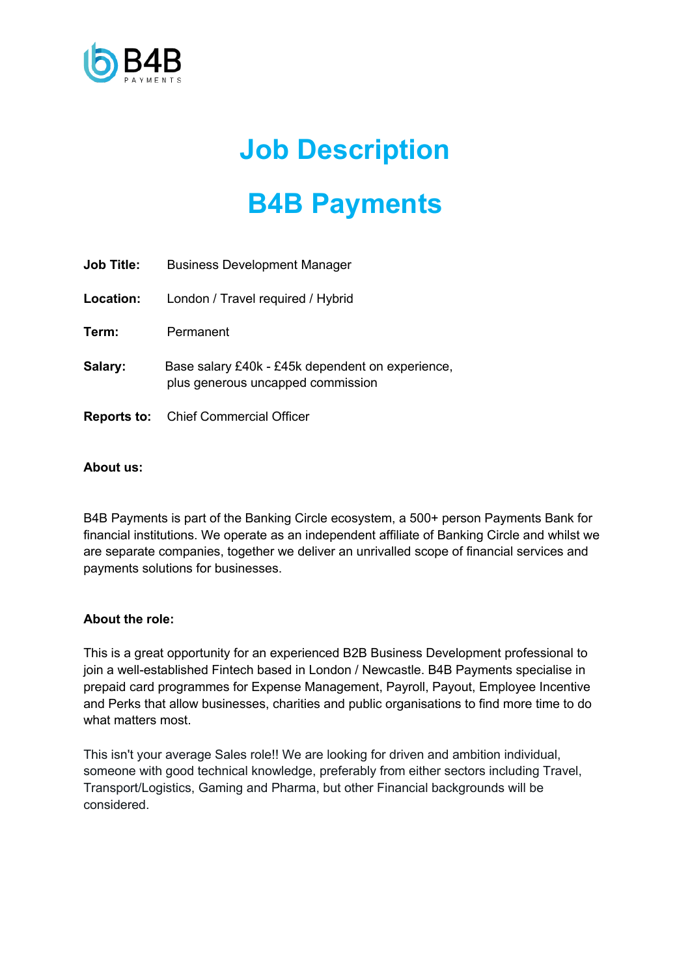

## **Job Description**

# **B4B Payments**

| <b>Job Title:</b> | <b>Business Development Manager</b>                                                   |
|-------------------|---------------------------------------------------------------------------------------|
| Location:         | London / Travel required / Hybrid                                                     |
| Term:             | Permanent                                                                             |
| Salary:           | Base salary £40k - £45k dependent on experience,<br>plus generous uncapped commission |
|                   | <b>Reports to:</b> Chief Commercial Officer                                           |

## **About us:**

B4B Payments is part of the Banking Circle ecosystem, a 500+ person Payments Bank for financial institutions. We operate as an independent affiliate of Banking Circle and whilst we are separate companies, together we deliver an unrivalled scope of financial services and payments solutions for businesses.

## **About the role:**

This is a great opportunity for an experienced B2B Business Development professional to join a well-established Fintech based in London / Newcastle. B4B Payments specialise in prepaid card programmes for Expense Management, Payroll, Payout, Employee Incentive and Perks that allow businesses, charities and public organisations to find more time to do what matters most.

This isn't your average Sales role!! We are looking for driven and ambition individual, someone with good technical knowledge, preferably from either sectors including Travel, Transport/Logistics, Gaming and Pharma, but other Financial backgrounds will be considered.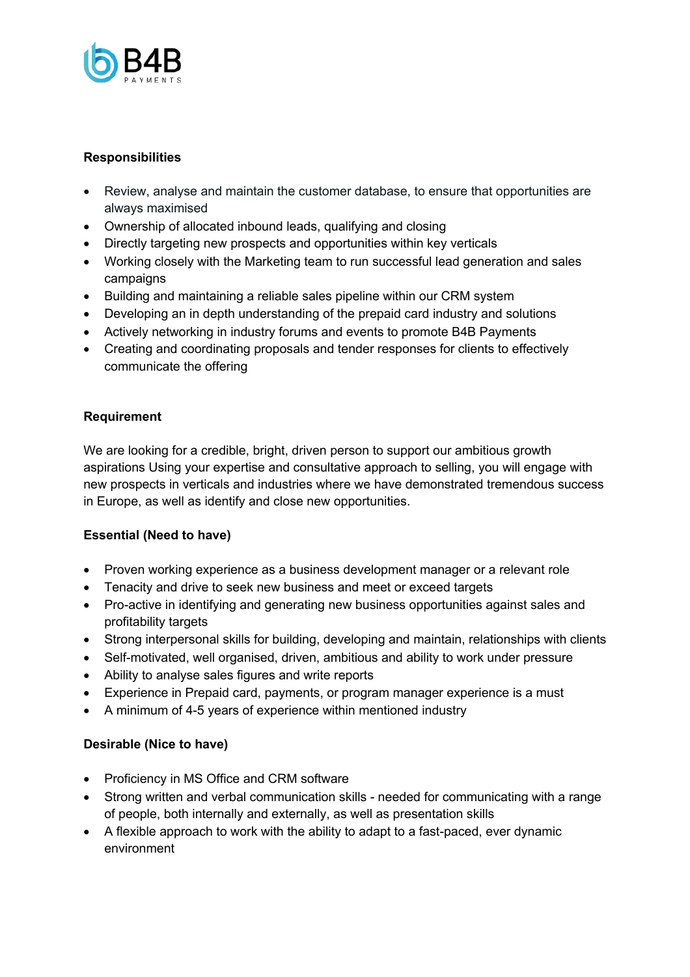

## **Responsibilities**

- Review, analyse and maintain the customer database, to ensure that opportunities are always maximised
- Ownership of allocated inbound leads, qualifying and closing
- Directly targeting new prospects and opportunities within key verticals
- Working closely with the Marketing team to run successful lead generation and sales campaigns
- Building and maintaining a reliable sales pipeline within our CRM system
- Developing an in depth understanding of the prepaid card industry and solutions
- Actively networking in industry forums and events to promote B4B Payments
- Creating and coordinating proposals and tender responses for clients to effectively communicate the offering

## **Requirement**

We are looking for a credible, bright, driven person to support our ambitious growth aspirations Using your expertise and consultative approach to selling, you will engage with new prospects in verticals and industries where we have demonstrated tremendous success in Europe, as well as identify and close new opportunities.

## **Essential (Need to have)**

- Proven working experience as a business development manager or a relevant role
- Tenacity and drive to seek new business and meet or exceed targets
- Pro-active in identifying and generating new business opportunities against sales and profitability targets
- Strong interpersonal skills for building, developing and maintain, relationships with clients
- Self-motivated, well organised, driven, ambitious and ability to work under pressure
- Ability to analyse sales figures and write reports
- Experience in Prepaid card, payments, or program manager experience is a must
- A minimum of 4-5 years of experience within mentioned industry

## **Desirable (Nice to have)**

- Proficiency in MS Office and CRM software
- Strong written and verbal communication skills needed for communicating with a range of people, both internally and externally, as well as presentation skills
- A flexible approach to work with the ability to adapt to a fast-paced, ever dynamic environment